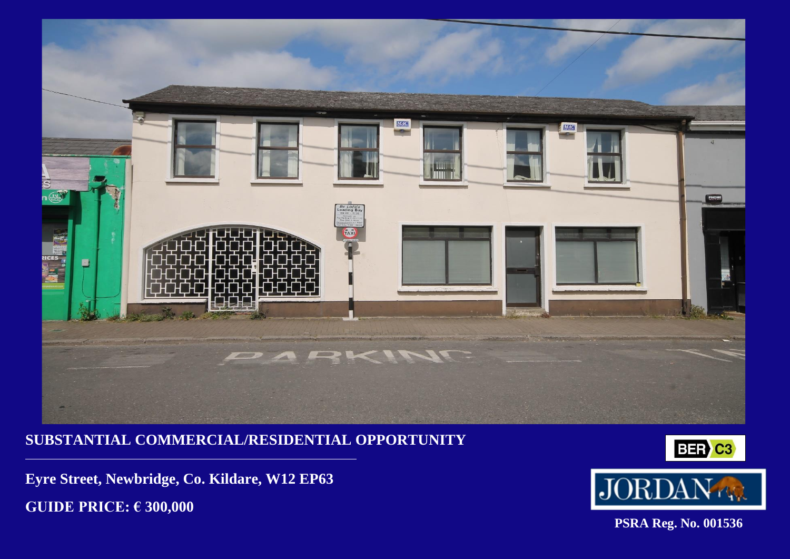

**SUBSTANTIAL COMMERCIAL/RESIDENTIAL OPPORTUNITY**

BER C3

**Eyre Street, Newbridge, Co. Kildare, W12 EP63**

**GUIDE PRICE: € 300,000**



**PSRA Reg. No. 001536**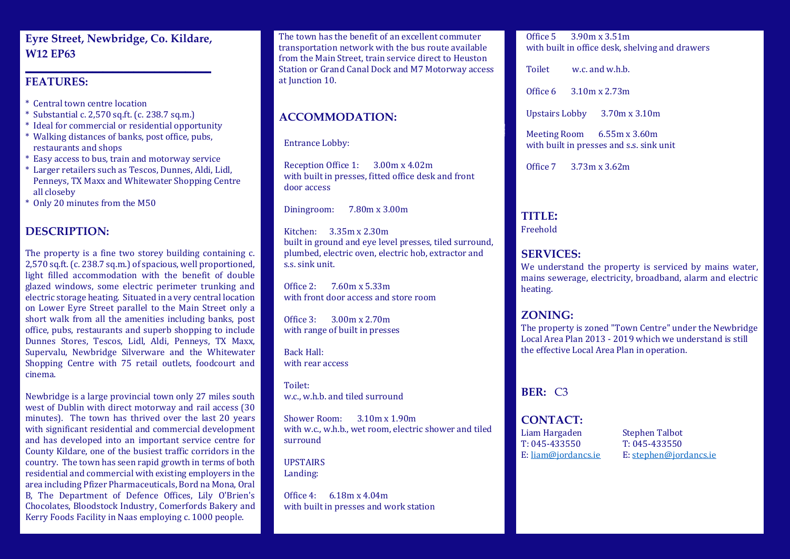### **Eyre Street, Newbridge, Co. Kildare, W12 EP63**

 $\overline{\phantom{a}}$  , and the contract of the contract of  $\overline{\phantom{a}}$ 

### **FEATURES:**

- \* Central town centre location
- \* Substantial c. 2,570 sq.ft. (c. 238.7 sq.m.)
- \* Ideal for commercial or residential opportunity
- \* Walking distances of banks, post office, pubs, restaurants and shops
- \* Easy access to bus, train and motorway service
- \* Larger retailers such as Tescos, Dunnes, Aldi, Lidl, Penneys, TX Maxx and Whitewater Shopping Centre all closeby
- \* Only 20 minutes from the M50

## **DESCRIPTION:**

The property is a fine two storey building containing c. 2,570 sq.ft. (c. 238.7 sq.m.) of spacious, well proportioned, light filled accommodation with the benefit of double glazed windows, some electric perimeter trunking and electric storage heating. Situated in a very central location on Lower Eyre Street parallel to the Main Street only a short walk from all the amenities including banks, post office, pubs, restaurants and superb shopping to include Dunnes Stores, Tescos, Lidl, Aldi, Penneys, TX Maxx, Supervalu, Newbridge Silverware and the Whitewater Shopping Centre with 75 retail outlets, foodcourt and cinema.

Newbridge is a large provincial town only 27 miles south west of Dublin with direct motorway and rail access (30 minutes). The town has thrived over the last 20 years with significant residential and commercial development and has developed into an important service centre for County Kildare, one of the busiest traffic corridors in the country. The town has seen rapid growth in terms of both residential and commercial with existing employers in the area including Pfizer Pharmaceuticals, Bord na Mona, Oral B, The Department of Defence Offices, Lily O'Brien's Chocolates, Bloodstock Industry, Comerfords Bakery and Kerry Foods Facility in Naas employing c. 1000 people.

The town has the benefit of an excellent commuter transportation network with the bus route available from the Main Street, train service direct to Heuston Station or Grand Canal Dock and M7 Motorway access at Iunction 10.

# **ACCOMMODATION:**

#### Entrance Lobby:

Reception Office 1: 3.00m x 4.02m with built in presses, fitted office desk and front door access

Diningroom: 7.80m x 3.00m

Kitchen: 3.35m x 2.30m built in ground and eye level presses, tiled surround, plumbed, electric oven, electric hob, extractor and s.s. sink unit.

Office  $2: 7.60$ m x 5.33m with front door access and store room

Office 3: 3.00m x 2.70m with range of built in presses

Back Hall: with rear access

Toilet: w.c., w.h.b. and tiled surround

Shower Room: 3.10m x 1.90m with w.c., w.h.b., wet room, electric shower and tiled surround

**UPSTAIRS** Landing:

Office 4: 6.18m x 4.04m with built in presses and work station

#### Office 5 3.90m x 3.51m with built in office desk, shelving and drawers

Toilet w.c. and w.h.b.

Office 6 3.10m x 2.73m

Upstairs Lobby 3.70m x 3.10m

Meeting Room 6.55m x 3.60m with built in presses and s.s. sink unit

Office 7 3.73m x 3.62m

## **TITLE:**

Freehold

## **SERVICES:**

We understand the property is serviced by mains water, mains sewerage, electricity, broadband, alarm and electric heating.

# **ZONING:**

The property is zoned "Town Centre" under the Newbridge Local Area Plan 2013 - 2019 which we understand is still the effective Local Area Plan in operation.

**BER:** C3

**CONTACT:** Liam Hargaden Stephen Talbot T: 045-433550 T: 045-433550

E: [liam@jordancs.ie](mailto:liam@jordancs.ie) E: [stephen@jordancs.ie](mailto:stephen@jordancs.ie)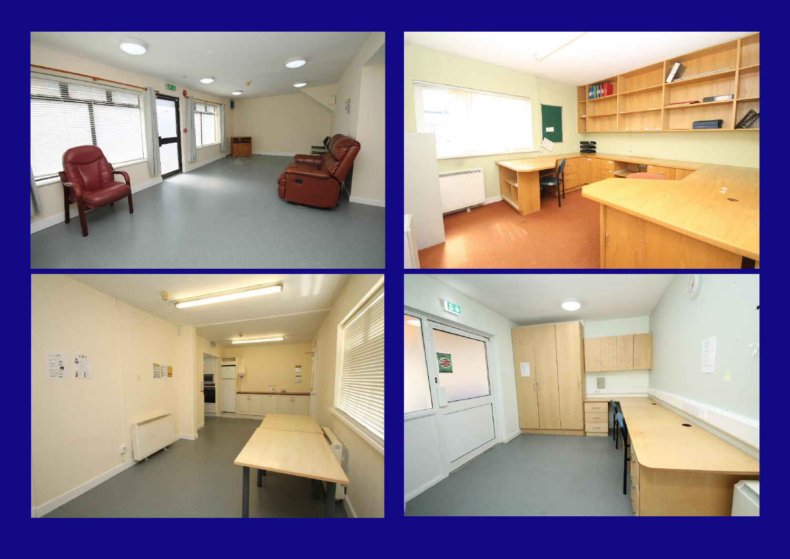